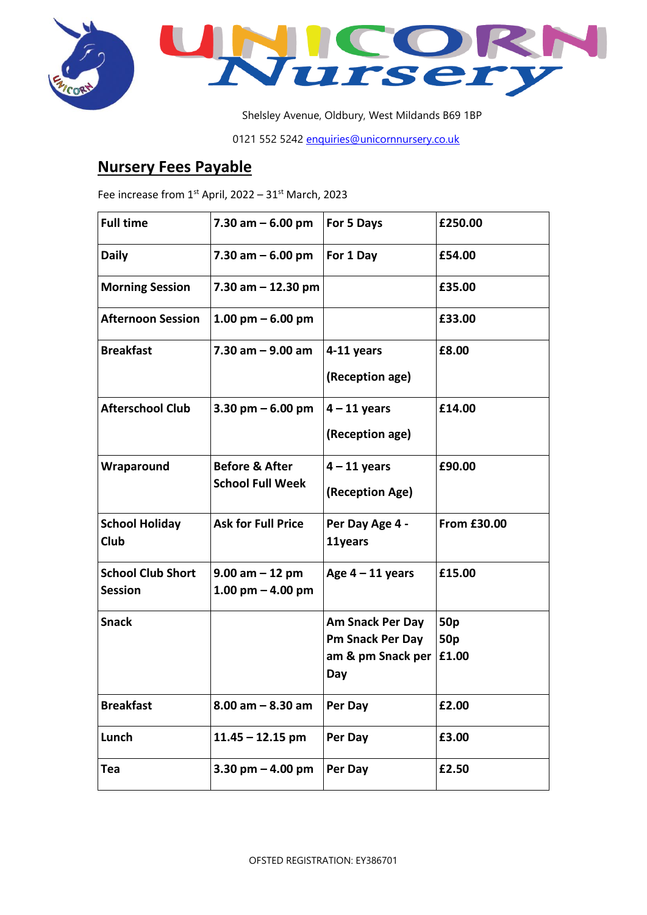



Shelsley Avenue, Oldbury, West Mildands B69 1BP

0121 552 5242 [enquiries@unicornnursery.co.uk](mailto:enquiries@unicornnursery.co.uk)

## **Nursery Fees Payable**

Fee increase from  $1^{st}$  April, 2022 – 31st March, 2023

| <b>Full time</b>                           | 7.30 am $-6.00$ pm                                   | For 5 Days                            | £250.00                  |
|--------------------------------------------|------------------------------------------------------|---------------------------------------|--------------------------|
| <b>Daily</b>                               | 7.30 am $-6.00$ pm                                   | For 1 Day                             | £54.00                   |
| <b>Morning Session</b>                     | 7.30 am $-$ 12.30 pm                                 |                                       | £35.00                   |
| <b>Afternoon Session</b>                   | 1.00 pm $-6.00$ pm                                   |                                       | £33.00                   |
| <b>Breakfast</b>                           | $7.30$ am $-9.00$ am                                 | 4-11 years                            | £8.00                    |
|                                            |                                                      | (Reception age)                       |                          |
| <b>Afterschool Club</b>                    | 3.30 pm $-6.00$ pm                                   | $4 - 11$ years                        | £14.00                   |
|                                            |                                                      | (Reception age)                       |                          |
| Wraparound                                 | <b>Before &amp; After</b><br><b>School Full Week</b> | $4 - 11$ years                        | £90.00                   |
|                                            |                                                      | (Reception Age)                       |                          |
| <b>School Holiday</b><br>Club              | <b>Ask for Full Price</b>                            | Per Day Age 4 -<br>11years            | <b>From £30.00</b>       |
|                                            |                                                      |                                       |                          |
| <b>School Club Short</b><br><b>Session</b> | $9.00$ am $-12$ pm<br>1.00 pm $-$ 4.00 pm            | Age $4 - 11$ years                    | £15.00                   |
| <b>Snack</b>                               |                                                      | <b>Am Snack Per Day</b>               | 50 <sub>p</sub>          |
|                                            |                                                      | Pm Snack Per Day<br>am & pm Snack per | 50 <sub>p</sub><br>£1.00 |
|                                            |                                                      | Day                                   |                          |
| <b>Breakfast</b>                           | $8.00$ am $- 8.30$ am                                | Per Day                               | £2.00                    |
| Lunch                                      | $11.45 - 12.15$ pm                                   | Per Day                               | £3.00                    |
| Tea                                        | 3.30 pm $-$ 4.00 pm                                  | Per Day                               | £2.50                    |